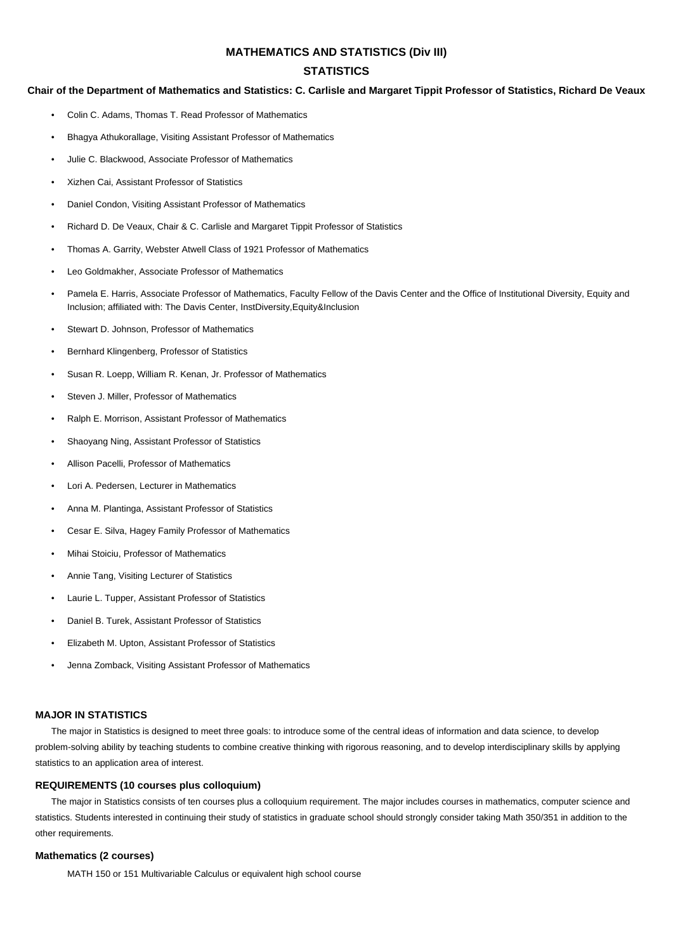## **MATHEMATICS AND STATISTICS (Div III)**

## **STATISTICS**

### **Chair of the Department of Mathematics and Statistics: C. Carlisle and Margaret Tippit Professor of Statistics, Richard De Veaux**

- Colin C. Adams, Thomas T. Read Professor of Mathematics
- Bhagya Athukorallage, Visiting Assistant Professor of Mathematics
- Julie C. Blackwood, Associate Professor of Mathematics
- Xizhen Cai, Assistant Professor of Statistics
- Daniel Condon, Visiting Assistant Professor of Mathematics
- Richard D. De Veaux, Chair & C. Carlisle and Margaret Tippit Professor of Statistics
- Thomas A. Garrity, Webster Atwell Class of 1921 Professor of Mathematics
- Leo Goldmakher, Associate Professor of Mathematics
- Pamela E. Harris, Associate Professor of Mathematics, Faculty Fellow of the Davis Center and the Office of Institutional Diversity, Equity and Inclusion; affiliated with: The Davis Center, InstDiversity,Equity&Inclusion
- Stewart D. Johnson, Professor of Mathematics
- Bernhard Klingenberg, Professor of Statistics
- Susan R. Loepp, William R. Kenan, Jr. Professor of Mathematics
- Steven J. Miller, Professor of Mathematics
- Ralph E. Morrison, Assistant Professor of Mathematics
- Shaoyang Ning, Assistant Professor of Statistics
- Allison Pacelli, Professor of Mathematics
- Lori A. Pedersen, Lecturer in Mathematics
- Anna M. Plantinga, Assistant Professor of Statistics
- Cesar E. Silva, Hagey Family Professor of Mathematics
- Mihai Stoiciu, Professor of Mathematics
- Annie Tang, Visiting Lecturer of Statistics
- Laurie L. Tupper, Assistant Professor of Statistics
- Daniel B. Turek, Assistant Professor of Statistics
- Elizabeth M. Upton, Assistant Professor of Statistics
- Jenna Zomback, Visiting Assistant Professor of Mathematics

## **MAJOR IN STATISTICS**

The major in Statistics is designed to meet three goals: to introduce some of the central ideas of information and data science, to develop problem-solving ability by teaching students to combine creative thinking with rigorous reasoning, and to develop interdisciplinary skills by applying statistics to an application area of interest.

### **REQUIREMENTS (10 courses plus colloquium)**

The major in Statistics consists of ten courses plus a colloquium requirement. The major includes courses in mathematics, computer science and statistics. Students interested in continuing their study of statistics in graduate school should strongly consider taking Math 350/351 in addition to the other requirements.

### **Mathematics (2 courses)**

MATH 150 or 151 Multivariable Calculus or equivalent high school course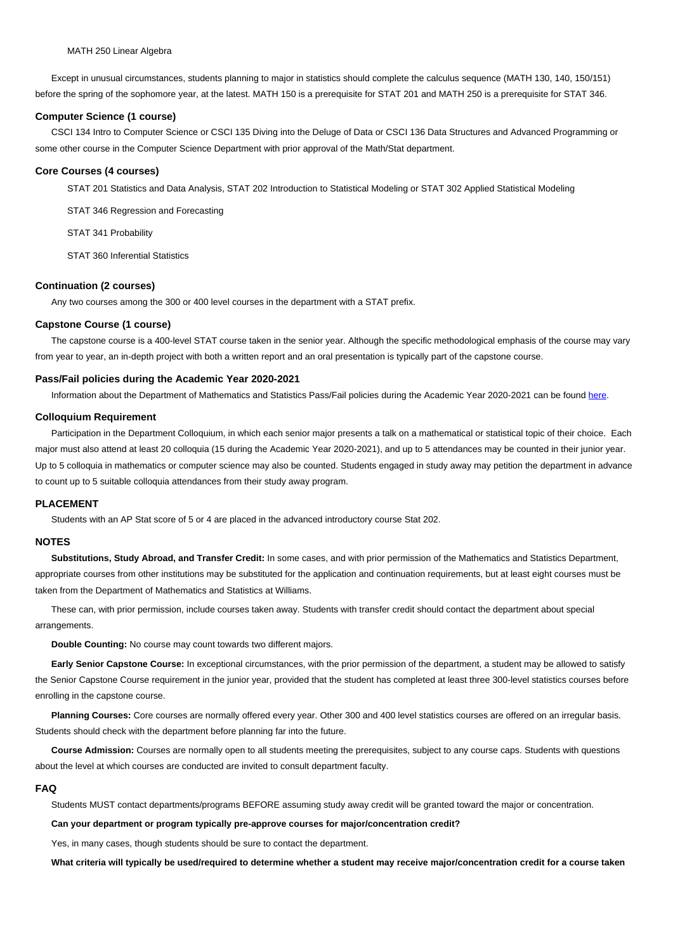Except in unusual circumstances, students planning to major in statistics should complete the calculus sequence (MATH 130, 140, 150/151) before the spring of the sophomore year, at the latest. MATH 150 is a prerequisite for STAT 201 and MATH 250 is a prerequisite for STAT 346.

### **Computer Science (1 course)**

CSCI 134 Intro to Computer Science or CSCI 135 Diving into the Deluge of Data or CSCI 136 Data Structures and Advanced Programming or some other course in the Computer Science Department with prior approval of the Math/Stat department.

#### **Core Courses (4 courses)**

STAT 201 Statistics and Data Analysis, STAT 202 Introduction to Statistical Modeling or STAT 302 Applied Statistical Modeling

STAT 346 Regression and Forecasting

STAT 341 Probability

STAT 360 Inferential Statistics

## **Continuation (2 courses)**

Any two courses among the 300 or 400 level courses in the department with a STAT prefix.

#### **Capstone Course (1 course)**

The capstone course is a 400-level STAT course taken in the senior year. Although the specific methodological emphasis of the course may vary from year to year, an in-depth project with both a written report and an oral presentation is typically part of the capstone course.

### **Pass/Fail policies during the Academic Year 2020-2021**

Information about the Department of Mathematics and Statistics Pass/Fail policies during the Academic Year 2020-2021 can be found here.

#### **Colloquium Requirement**

Participation in the Department Colloquium, in which each senior major presents a talk on a mathematical or statistical topic of their choice. Each major must also attend at least 20 colloquia (15 during the Academic Year 2020-2021), and up to 5 attendances may be counted in their ju[nior y](https://math.williams.edu/mathematics-and-statistics-pass-fail-policies-for-the-academic-year-2020-2021/)ear. Up to 5 colloquia in mathematics or computer science may also be counted. Students engaged in study away may petition the department in advance to count up to 5 suitable colloquia attendances from their study away program.

#### **PLACEMENT**

Students with an AP Stat score of 5 or 4 are placed in the advanced introductory course Stat 202.

#### **NOTES**

**Substitutions, Study Abroad, and Transfer Credit:** In some cases, and with prior permission of the Mathematics and Statistics Department, appropriate courses from other institutions may be substituted for the application and continuation requirements, but at least eight courses must be taken from the Department of Mathematics and Statistics at Williams.

These can, with prior permission, include courses taken away. Students with transfer credit should contact the department about special arrangements.

**Double Counting:** No course may count towards two different majors.

**Early Senior Capstone Course:** In exceptional circumstances, with the prior permission of the department, a student may be allowed to satisfy the Senior Capstone Course requirement in the junior year, provided that the student has completed at least three 300-level statistics courses before enrolling in the capstone course.

**Planning Courses:** Core courses are normally offered every year. Other 300 and 400 level statistics courses are offered on an irregular basis. Students should check with the department before planning far into the future.

**Course Admission:** Courses are normally open to all students meeting the prerequisites, subject to any course caps. Students with questions about the level at which courses are conducted are invited to consult department faculty.

#### **FAQ**

Students MUST contact departments/programs BEFORE assuming study away credit will be granted toward the major or concentration.

**Can your department or program typically pre-approve courses for major/concentration credit?**

Yes, in many cases, though students should be sure to contact the department.

**What criteria will typically be used/required to determine whether a student may receive major/concentration credit for a course taken**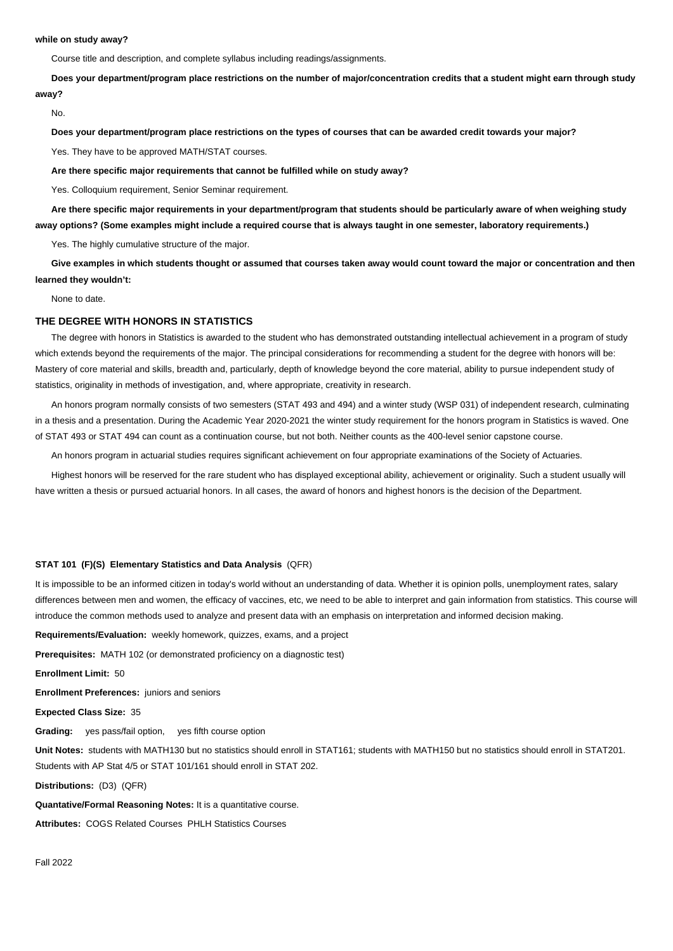#### **while on study away?**

Course title and description, and complete syllabus including readings/assignments.

**Does your department/program place restrictions on the number of major/concentration credits that a student might earn through study away?**

No.

**Does your department/program place restrictions on the types of courses that can be awarded credit towards your major?**

Yes. They have to be approved MATH/STAT courses.

**Are there specific major requirements that cannot be fulfilled while on study away?**

Yes. Colloquium requirement, Senior Seminar requirement.

**Are there specific major requirements in your department/program that students should be particularly aware of when weighing study away options? (Some examples might include a required course that is always taught in one semester, laboratory requirements.)**

Yes. The highly cumulative structure of the major.

**Give examples in which students thought or assumed that courses taken away would count toward the major or concentration and then learned they wouldn't:**

None to date.

### **THE DEGREE WITH HONORS IN STATISTICS**

The degree with honors in Statistics is awarded to the student who has demonstrated outstanding intellectual achievement in a program of study which extends beyond the requirements of the major. The principal considerations for recommending a student for the degree with honors will be: Mastery of core material and skills, breadth and, particularly, depth of knowledge beyond the core material, ability to pursue independent study of statistics, originality in methods of investigation, and, where appropriate, creativity in research.

An honors program normally consists of two semesters (STAT 493 and 494) and a winter study (WSP 031) of independent research, culminating in a thesis and a presentation. During the Academic Year 2020-2021 the winter study requirement for the honors program in Statistics is waved. One of STAT 493 or STAT 494 can count as a continuation course, but not both. Neither counts as the 400-level senior capstone course.

An honors program in actuarial studies requires significant achievement on four appropriate examinations of the Society of Actuaries.

Highest honors will be reserved for the rare student who has displayed exceptional ability, achievement or originality. Such a student usually will have written a thesis or pursued actuarial honors. In all cases, the award of honors and highest honors is the decision of the Department.

## **STAT 101 (F)(S) Elementary Statistics and Data Analysis** (QFR)

It is impossible to be an informed citizen in today's world without an understanding of data. Whether it is opinion polls, unemployment rates, salary differences between men and women, the efficacy of vaccines, etc, we need to be able to interpret and gain information from statistics. This course will introduce the common methods used to analyze and present data with an emphasis on interpretation and informed decision making.

**Requirements/Evaluation:** weekly homework, quizzes, exams, and a project

**Prerequisites:** MATH 102 (or demonstrated proficiency on a diagnostic test)

**Enrollment Limit:** 50

**Enrollment Preferences:** juniors and seniors

**Expected Class Size:** 35

**Grading:** yes pass/fail option, yes fifth course option

**Unit Notes:** students with MATH130 but no statistics should enroll in STAT161; students with MATH150 but no statistics should enroll in STAT201. Students with AP Stat 4/5 or STAT 101/161 should enroll in STAT 202.

**Distributions:** (D3) (QFR)

**Quantative/Formal Reasoning Notes:** It is a quantitative course.

**Attributes:** COGS Related Courses PHLH Statistics Courses

Fall 2022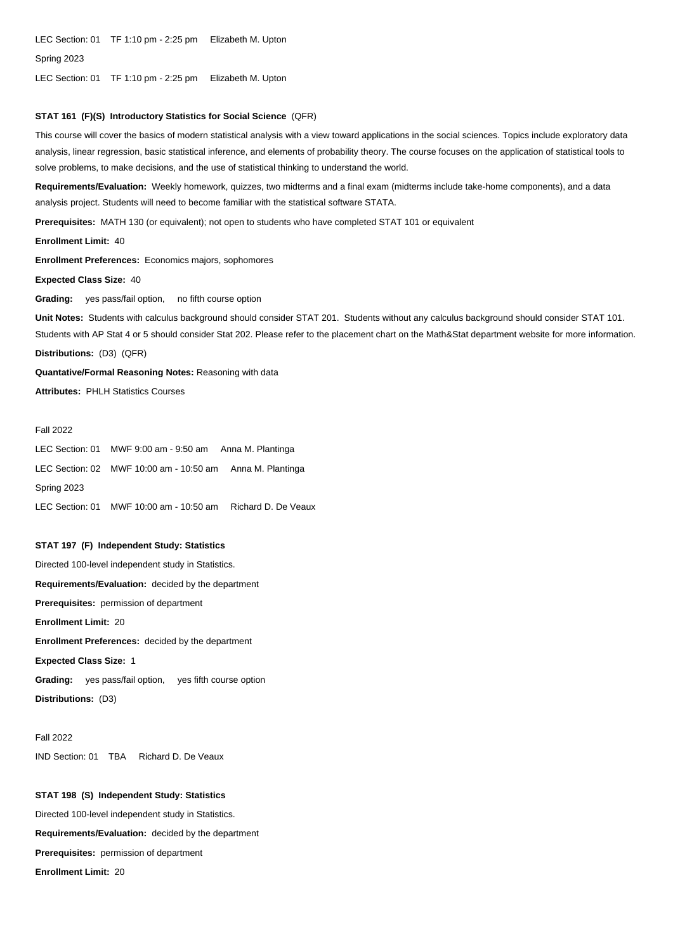LEC Section: 01 TF 1:10 pm - 2:25 pm Elizabeth M. Upton

Spring 2023

LEC Section: 01 TF 1:10 pm - 2:25 pm Elizabeth M. Upton

# **STAT 161 (F)(S) Introductory Statistics for Social Science** (QFR)

This course will cover the basics of modern statistical analysis with a view toward applications in the social sciences. Topics include exploratory data analysis, linear regression, basic statistical inference, and elements of probability theory. The course focuses on the application of statistical tools to solve problems, to make decisions, and the use of statistical thinking to understand the world.

**Requirements/Evaluation:** Weekly homework, quizzes, two midterms and a final exam (midterms include take-home components), and a data analysis project. Students will need to become familiar with the statistical software STATA.

**Prerequisites:** MATH 130 (or equivalent); not open to students who have completed STAT 101 or equivalent

**Enrollment Limit:** 40

**Enrollment Preferences:** Economics majors, sophomores

**Expected Class Size:** 40

**Grading:** yes pass/fail option, no fifth course option

**Unit Notes:** Students with calculus background should consider STAT 201. Students without any calculus background should consider STAT 101. Students with AP Stat 4 or 5 should consider Stat 202. Please refer to the placement chart on the Math&Stat department website for more information.

**Distributions:** (D3) (QFR)

**Quantative/Formal Reasoning Notes:** Reasoning with data **Attributes: PHI H Statistics Courses** 

## Fall 2022

LEC Section: 01 MWF 9:00 am - 9:50 am Anna M. Plantinga LEC Section: 02 MWF 10:00 am - 10:50 am Anna M. Plantinga Spring 2023 LEC Section: 01 MWF 10:00 am - 10:50 am Richard D. De Veaux

## **STAT 197 (F) Independent Study: Statistics**

Directed 100-level independent study in Statistics. **Requirements/Evaluation:** decided by the department **Prerequisites:** permission of department **Enrollment Limit:** 20 **Enrollment Preferences:** decided by the department **Expected Class Size:** 1 **Grading:** yes pass/fail option, yes fifth course option

**Distributions:** (D3)

Fall 2022 IND Section: 01 TBA Richard D. De Veaux

## **STAT 198 (S) Independent Study: Statistics**

Directed 100-level independent study in Statistics. **Requirements/Evaluation:** decided by the department **Prerequisites:** permission of department **Enrollment Limit:** 20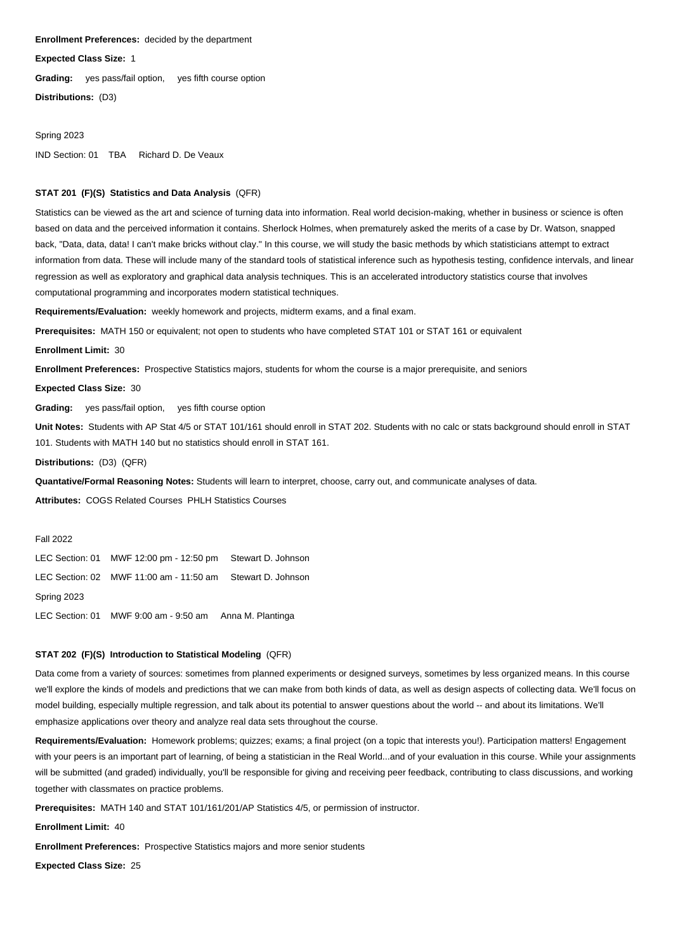#### **Enrollment Preferences:** decided by the department

**Expected Class Size:** 1

**Grading:** yes pass/fail option, yes fifth course option

**Distributions:** (D3)

#### Spring 2023

IND Section: 01 TBA Richard D. De Veaux

# **STAT 201 (F)(S) Statistics and Data Analysis** (QFR)

Statistics can be viewed as the art and science of turning data into information. Real world decision-making, whether in business or science is often based on data and the perceived information it contains. Sherlock Holmes, when prematurely asked the merits of a case by Dr. Watson, snapped back, "Data, data, data! I can't make bricks without clay." In this course, we will study the basic methods by which statisticians attempt to extract information from data. These will include many of the standard tools of statistical inference such as hypothesis testing, confidence intervals, and linear regression as well as exploratory and graphical data analysis techniques. This is an accelerated introductory statistics course that involves computational programming and incorporates modern statistical techniques.

**Requirements/Evaluation:** weekly homework and projects, midterm exams, and a final exam.

**Prerequisites:** MATH 150 or equivalent; not open to students who have completed STAT 101 or STAT 161 or equivalent

**Enrollment Limit:** 30

**Enrollment Preferences:** Prospective Statistics majors, students for whom the course is a major prerequisite, and seniors

**Expected Class Size:** 30

**Grading:** yes pass/fail option, yes fifth course option

**Unit Notes:** Students with AP Stat 4/5 or STAT 101/161 should enroll in STAT 202. Students with no calc or stats background should enroll in STAT 101. Students with MATH 140 but no statistics should enroll in STAT 161.

**Distributions:** (D3) (QFR)

**Quantative/Formal Reasoning Notes:** Students will learn to interpret, choose, carry out, and communicate analyses of data.

**Attributes:** COGS Related Courses PHLH Statistics Courses

### Fall 2022

LEC Section: 01 MWF 12:00 pm - 12:50 pm Stewart D. Johnson LEC Section: 02 MWF 11:00 am - 11:50 am Stewart D. Johnson Spring 2023 LEC Section: 01 MWF 9:00 am - 9:50 am Anna M. Plantinga

# **STAT 202 (F)(S) Introduction to Statistical Modeling** (QFR)

Data come from a variety of sources: sometimes from planned experiments or designed surveys, sometimes by less organized means. In this course we'll explore the kinds of models and predictions that we can make from both kinds of data, as well as design aspects of collecting data. We'll focus on model building, especially multiple regression, and talk about its potential to answer questions about the world -- and about its limitations. We'll emphasize applications over theory and analyze real data sets throughout the course.

**Requirements/Evaluation:** Homework problems; quizzes; exams; a final project (on a topic that interests you!). Participation matters! Engagement with your peers is an important part of learning, of being a statistician in the Real World...and of your evaluation in this course. While your assignments will be submitted (and graded) individually, you'll be responsible for giving and receiving peer feedback, contributing to class discussions, and working together with classmates on practice problems.

**Prerequisites:** MATH 140 and STAT 101/161/201/AP Statistics 4/5, or permission of instructor.

**Enrollment Limit:** 40

**Enrollment Preferences:** Prospective Statistics majors and more senior students

**Expected Class Size:** 25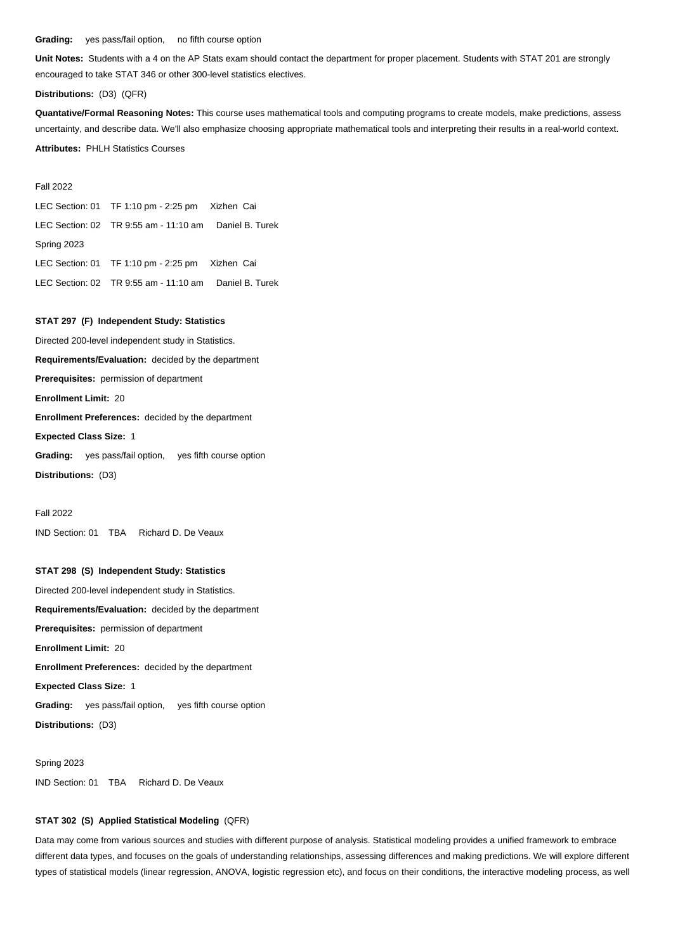#### **Grading:** yes pass/fail option, no fifth course option

**Unit Notes:** Students with a 4 on the AP Stats exam should contact the department for proper placement. Students with STAT 201 are strongly encouraged to take STAT 346 or other 300-level statistics electives.

## **Distributions:** (D3) (QFR)

**Quantative/Formal Reasoning Notes:** This course uses mathematical tools and computing programs to create models, make predictions, assess uncertainty, and describe data. We'll also emphasize choosing appropriate mathematical tools and interpreting their results in a real-world context. **Attributes:** PHLH Statistics Courses

### Fall 2022

LEC Section: 01 TF 1:10 pm - 2:25 pm Xizhen Cai LEC Section: 02 TR 9:55 am - 11:10 am Daniel B. Turek Spring 2023 LEC Section: 01 TF 1:10 pm - 2:25 pm Xizhen Cai LEC Section: 02 TR 9:55 am - 11:10 am Daniel B. Turek

# **STAT 297 (F) Independent Study: Statistics**

Directed 200-level independent study in Statistics. **Requirements/Evaluation:** decided by the department **Prerequisites:** permission of department **Enrollment Limit:** 20 **Enrollment Preferences:** decided by the department **Expected Class Size:** 1 **Grading:** yes pass/fail option, yes fifth course option

**Distributions:** (D3)

Fall 2022

IND Section: 01 TBA Richard D. De Veaux

## **STAT 298 (S) Independent Study: Statistics**

Directed 200-level independent study in Statistics. **Requirements/Evaluation:** decided by the department **Prerequisites:** permission of department **Enrollment Limit:** 20 **Enrollment Preferences:** decided by the department **Expected Class Size:** 1 **Grading:** yes pass/fail option, yes fifth course option **Distributions:** (D3)

Spring 2023 IND Section: 01 TBA Richard D. De Veaux

## **STAT 302 (S) Applied Statistical Modeling** (QFR)

Data may come from various sources and studies with different purpose of analysis. Statistical modeling provides a unified framework to embrace different data types, and focuses on the goals of understanding relationships, assessing differences and making predictions. We will explore different types of statistical models (linear regression, ANOVA, logistic regression etc), and focus on their conditions, the interactive modeling process, as well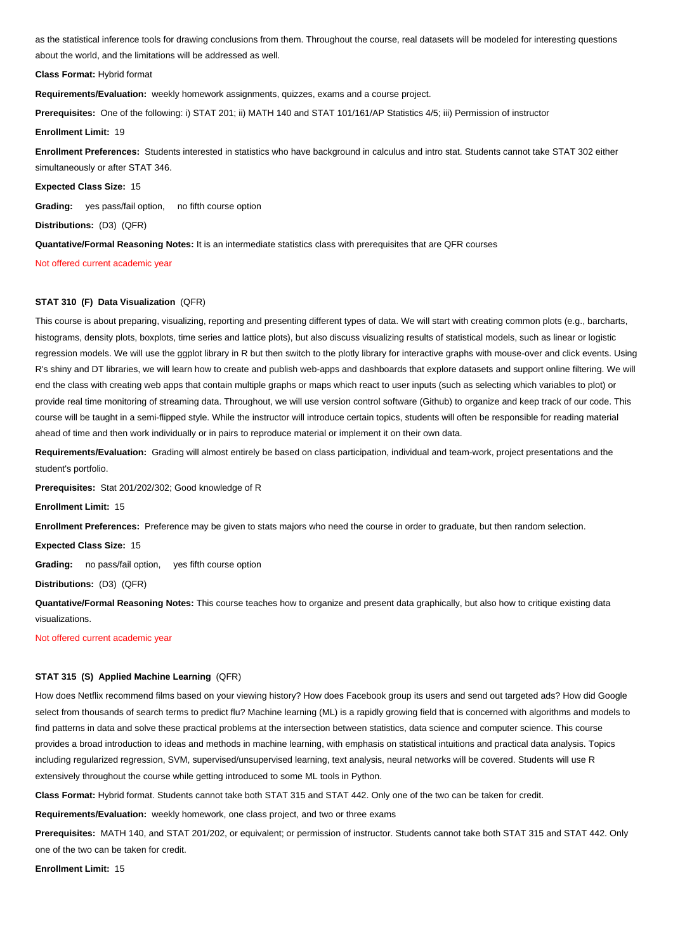as the statistical inference tools for drawing conclusions from them. Throughout the course, real datasets will be modeled for interesting questions about the world, and the limitations will be addressed as well.

**Class Format:** Hybrid format

**Requirements/Evaluation:** weekly homework assignments, quizzes, exams and a course project.

**Prerequisites:** One of the following: i) STAT 201; ii) MATH 140 and STAT 101/161/AP Statistics 4/5; iii) Permission of instructor

**Enrollment Limit:** 19

**Enrollment Preferences:** Students interested in statistics who have background in calculus and intro stat. Students cannot take STAT 302 either simultaneously or after STAT 346.

**Expected Class Size:** 15

**Grading:** yes pass/fail option, no fifth course option

**Distributions:** (D3) (QFR)

**Quantative/Formal Reasoning Notes:** It is an intermediate statistics class with prerequisites that are QFR courses

Not offered current academic year

## **STAT 310 (F) Data Visualization** (QFR)

This course is about preparing, visualizing, reporting and presenting different types of data. We will start with creating common plots (e.g., barcharts, histograms, density plots, boxplots, time series and lattice plots), but also discuss visualizing results of statistical models, such as linear or logistic regression models. We will use the ggplot library in R but then switch to the plotly library for interactive graphs with mouse-over and click events. Using R's shiny and DT libraries, we will learn how to create and publish web-apps and dashboards that explore datasets and support online filtering. We will end the class with creating web apps that contain multiple graphs or maps which react to user inputs (such as selecting which variables to plot) or provide real time monitoring of streaming data. Throughout, we will use version control software (Github) to organize and keep track of our code. This course will be taught in a semi-flipped style. While the instructor will introduce certain topics, students will often be responsible for reading material ahead of time and then work individually or in pairs to reproduce material or implement it on their own data.

**Requirements/Evaluation:** Grading will almost entirely be based on class participation, individual and team-work, project presentations and the student's portfolio.

**Prerequisites:** Stat 201/202/302; Good knowledge of R

**Enrollment Limit:** 15

**Enrollment Preferences:** Preference may be given to stats majors who need the course in order to graduate, but then random selection.

**Expected Class Size:** 15

**Grading:** no pass/fail option, yes fifth course option

**Distributions:** (D3) (QFR)

**Quantative/Formal Reasoning Notes:** This course teaches how to organize and present data graphically, but also how to critique existing data visualizations. ľ

Not offered current academic year

## **STAT 315 (S) Applied Machine Learning** (QFR)

How does Netflix recommend films based on your viewing history? How does Facebook group its users and send out targeted ads? How did Google select from thousands of search terms to predict flu? Machine learning (ML) is a rapidly growing field that is concerned with algorithms and models to find patterns in data and solve these practical problems at the intersection between statistics, data science and computer science. This course provides a broad introduction to ideas and methods in machine learning, with emphasis on statistical intuitions and practical data analysis. Topics including regularized regression, SVM, supervised/unsupervised learning, text analysis, neural networks will be covered. Students will use R extensively throughout the course while getting introduced to some ML tools in Python.

**Class Format:** Hybrid format. Students cannot take both STAT 315 and STAT 442. Only one of the two can be taken for credit.

**Requirements/Evaluation:** weekly homework, one class project, and two or three exams

**Prerequisites:** MATH 140, and STAT 201/202, or equivalent; or permission of instructor. Students cannot take both STAT 315 and STAT 442. Only one of the two can be taken for credit.

**Enrollment Limit:** 15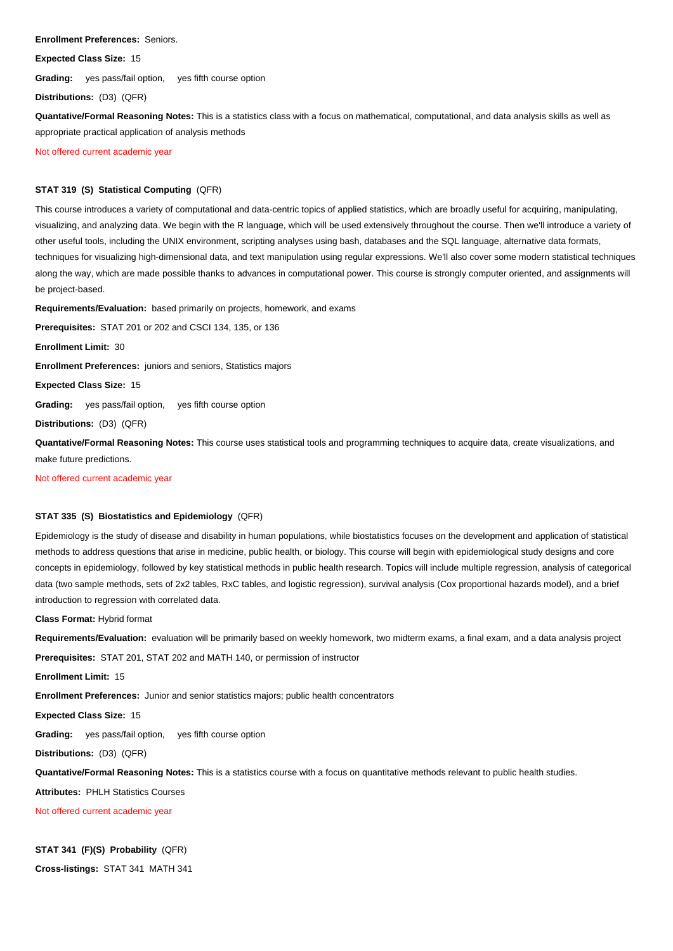**Enrollment Preferences:** Seniors.

**Expected Class Size:** 15

**Grading:** yes pass/fail option, yes fifth course option

**Distributions:** (D3) (QFR)

**Quantative/Formal Reasoning Notes:** This is a statistics class with a focus on mathematical, computational, and data analysis skills as well as appropriate practical application of analysis methods

Not offered current academic year

# **STAT 319 (S) Statistical Computing** (QFR)

This course introduces a variety of computational and data-centric topics of applied statistics, which are broadly useful for acquiring, manipulating, visualizing, and analyzing data. We begin with the R language, which will be used extensively throughout the course. Then we'll introduce a variety of other useful tools, including the UNIX environment, scripting analyses using bash, databases and the SQL language, alternative data formats, techniques for visualizing high-dimensional data, and text manipulation using regular expressions. We'll also cover some modern statistical techniques along the way, which are made possible thanks to advances in computational power. This course is strongly computer oriented, and assignments will be project-based.

**Requirements/Evaluation:** based primarily on projects, homework, and exams

**Prerequisites:** STAT 201 or 202 and CSCI 134, 135, or 136

**Enrollment Limit:** 30

**Enrollment Preferences:** juniors and seniors, Statistics majors

**Expected Class Size:** 15

**Grading:** yes pass/fail option, yes fifth course option

**Distributions:** (D3) (QFR)

**Quantative/Formal Reasoning Notes:** This course uses statistical tools and programming techniques to acquire data, create visualizations, and make future predictions.

Not offered current academic year

# **STAT 335 (S) Biostatistics and Epidemiology** (QFR)

Epidemiology is the study of disease and disability in human populations, while biostatistics focuses on the development and application of statistical methods to address questions that arise in medicine, public health, or biology. This course will begin with epidemiological study designs and core concepts in epidemiology, followed by key statistical methods in public health research. Topics will include multiple regression, analysis of categorical data (two sample methods, sets of 2x2 tables, RxC tables, and logistic regression), survival analysis (Cox proportional hazards model), and a brief introduction to regression with correlated data.

**Class Format:** Hybrid format

**Requirements/Evaluation:** evaluation will be primarily based on weekly homework, two midterm exams, a final exam, and a data analysis project

**Prerequisites:** STAT 201, STAT 202 and MATH 140, or permission of instructor

**Enrollment Limit:** 15

**Enrollment Preferences:** Junior and senior statistics majors; public health concentrators

**Expected Class Size:** 15

**Grading:** yes pass/fail option, yes fifth course option

**Distributions:** (D3) (QFR)

**Quantative/Formal Reasoning Notes:** This is a statistics course with a focus on quantitative methods relevant to public health studies.

**Attributes:** PHLH Statistics Courses

Not offered current academic year

# **STAT 341 (F)(S) Probability** (QFR)

**Cross-listings:** STAT 341 MATH 341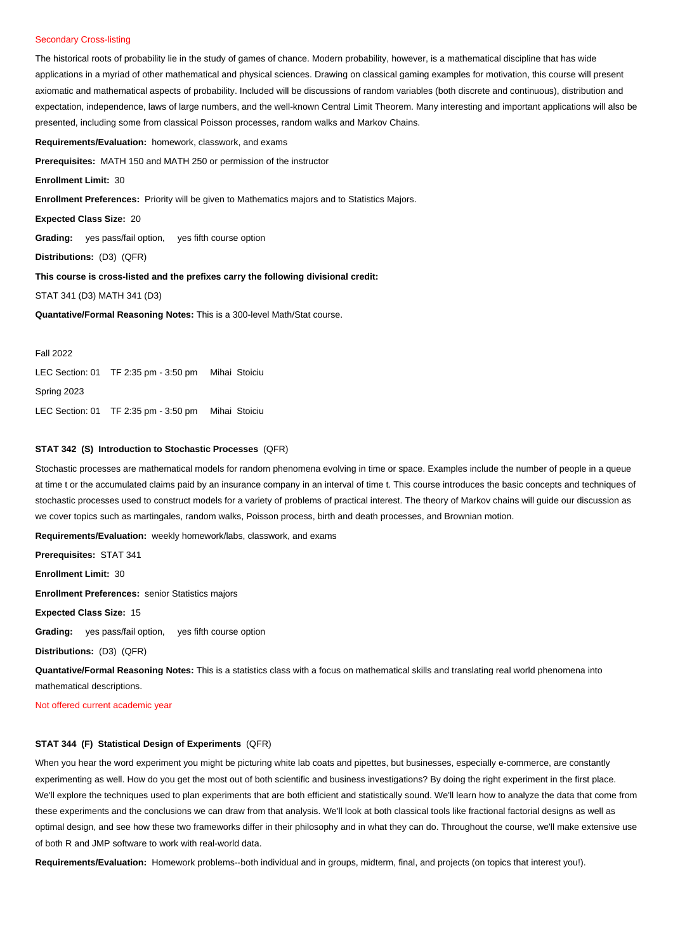# Secondary Cross-listing

The historical roots of probability lie in the study of games of chance. Modern probability, however, is a mathematical discipline that has wide applications in a myriad of other mathematical and physical sciences. Drawing on classical gaming examples for motivation, this course will present axiomatic and mathematical aspects of probability. Included will be discussions of random variables (both discrete and continuous), distribution and expectation, independence, laws of large numbers, and the well-known Central Limit Theorem. Many interesting and important applications will also be presented, including some from classical Poisson processes, random walks and Markov Chains.

**Requirements/Evaluation:** homework, classwork, and exams

**Prerequisites:** MATH 150 and MATH 250 or permission of the instructor

**Enrollment Limit:** 30

**Enrollment Preferences:** Priority will be given to Mathematics majors and to Statistics Majors.

**Expected Class Size:** 20

**Grading:** yes pass/fail option, yes fifth course option

**Distributions:** (D3) (QFR)

**This course is cross-listed and the prefixes carry the following divisional credit:**

STAT 341 (D3) MATH 341 (D3)

**Quantative/Formal Reasoning Notes:** This is a 300-level Math/Stat course.

#### Fall 2022

LEC Section: 01 TF 2:35 pm - 3:50 pm Mihai Stoiciu Spring 2023 LEC Section: 01 TF 2:35 pm - 3:50 pm Mihai Stoiciu

# **STAT 342 (S) Introduction to Stochastic Processes** (QFR)

Stochastic processes are mathematical models for random phenomena evolving in time or space. Examples include the number of people in a queue at time t or the accumulated claims paid by an insurance company in an interval of time t. This course introduces the basic concepts and techniques of stochastic processes used to construct models for a variety of problems of practical interest. The theory of Markov chains will guide our discussion as we cover topics such as martingales, random walks, Poisson process, birth and death processes, and Brownian motion.

**Requirements/Evaluation:** weekly homework/labs, classwork, and exams

**Prerequisites:** STAT 341

**Enrollment Limit:** 30

**Enrollment Preferences:** senior Statistics majors

**Expected Class Size:** 15

**Grading:** yes pass/fail option, yes fifth course option

**Distributions:** (D3) (QFR)

**Quantative/Formal Reasoning Notes:** This is a statistics class with a focus on mathematical skills and translating real world phenomena into mathematical descriptions.

Not offered current academic year

## **STAT 344 (F) Statistical Design of Experiments** (QFR)

When you hear the word experiment you might be picturing white lab coats and pipettes, but businesses, especially e-commerce, are constantly experimenting as well. How do you get the most out of both scientific and business investigations? By doing the right experiment in the first place. We'll explore the techniques used to plan experiments that are both efficient and statistically sound. We'll learn how to analyze the data that come from these experiments and the conclusions we can draw from that analysis. We'll look at both classical tools like fractional factorial designs as well as optimal design, and see how these two frameworks differ in their philosophy and in what they can do. Throughout the course, we'll make extensive use of both R and JMP software to work with real-world data.

**Requirements/Evaluation:** Homework problems--both individual and in groups, midterm, final, and projects (on topics that interest you!).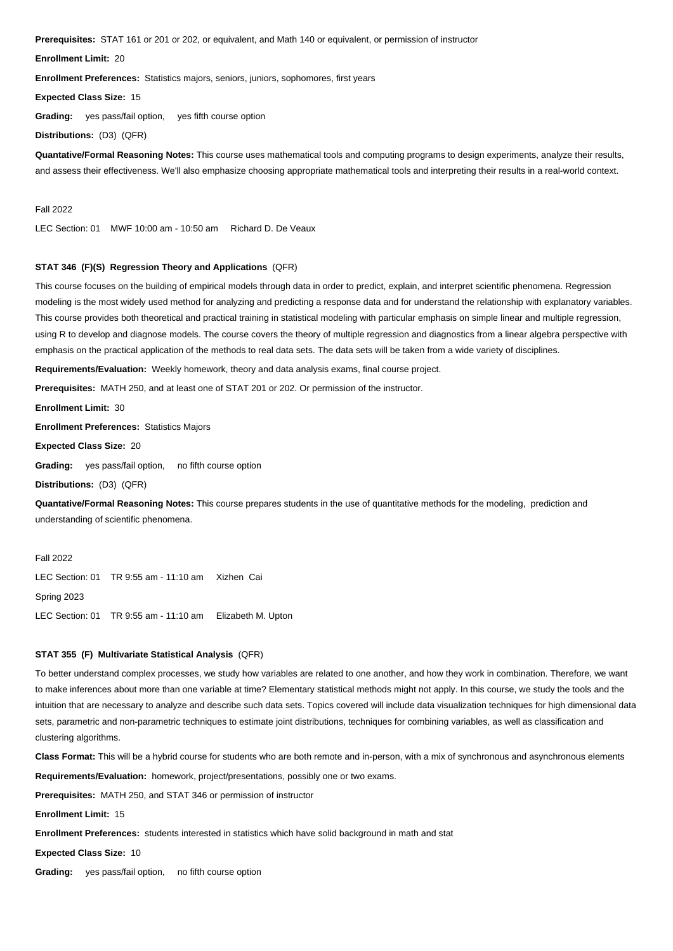**Prerequisites:** STAT 161 or 201 or 202, or equivalent, and Math 140 or equivalent, or permission of instructor

**Enrollment Limit:** 20

**Enrollment Preferences:** Statistics majors, seniors, juniors, sophomores, first years

**Expected Class Size:** 15

**Grading:** yes pass/fail option, yes fifth course option

**Distributions:** (D3) (QFR)

**Quantative/Formal Reasoning Notes:** This course uses mathematical tools and computing programs to design experiments, analyze their results, and assess their effectiveness. We'll also emphasize choosing appropriate mathematical tools and interpreting their results in a real-world context.

Fall 2022

LEC Section: 01 MWF 10:00 am - 10:50 am Richard D. De Veaux

## **STAT 346 (F)(S) Regression Theory and Applications** (QFR)

This course focuses on the building of empirical models through data in order to predict, explain, and interpret scientific phenomena. Regression modeling is the most widely used method for analyzing and predicting a response data and for understand the relationship with explanatory variables. This course provides both theoretical and practical training in statistical modeling with particular emphasis on simple linear and multiple regression, using R to develop and diagnose models. The course covers the theory of multiple regression and diagnostics from a linear algebra perspective with emphasis on the practical application of the methods to real data sets. The data sets will be taken from a wide variety of disciplines.

**Requirements/Evaluation:** Weekly homework, theory and data analysis exams, final course project.

**Prerequisites:** MATH 250, and at least one of STAT 201 or 202. Or permission of the instructor.

**Enrollment Limit:** 30

**Enrollment Preferences:** Statistics Majors

**Expected Class Size:** 20

**Grading:** yes pass/fail option, no fifth course option

**Distributions:** (D3) (QFR)

**Quantative/Formal Reasoning Notes:** This course prepares students in the use of quantitative methods for the modeling, prediction and understanding of scientific phenomena.

Fall 2022 LEC Section: 01 TR 9:55 am - 11:10 am Xizhen Cai Spring 2023 LEC Section: 01 TR 9:55 am - 11:10 am Elizabeth M. Upton

## **STAT 355 (F) Multivariate Statistical Analysis** (QFR)

To better understand complex processes, we study how variables are related to one another, and how they work in combination. Therefore, we want to make inferences about more than one variable at time? Elementary statistical methods might not apply. In this course, we study the tools and the intuition that are necessary to analyze and describe such data sets. Topics covered will include data visualization techniques for high dimensional data sets, parametric and non-parametric techniques to estimate joint distributions, techniques for combining variables, as well as classification and clustering algorithms.

**Class Format:** This will be a hybrid course for students who are both remote and in-person, with a mix of synchronous and asynchronous elements

**Requirements/Evaluation:** homework, project/presentations, possibly one or two exams.

**Prerequisites:** MATH 250, and STAT 346 or permission of instructor

**Enrollment Limit:** 15

**Enrollment Preferences:** students interested in statistics which have solid background in math and stat

**Expected Class Size:** 10

**Grading:** yes pass/fail option, no fifth course option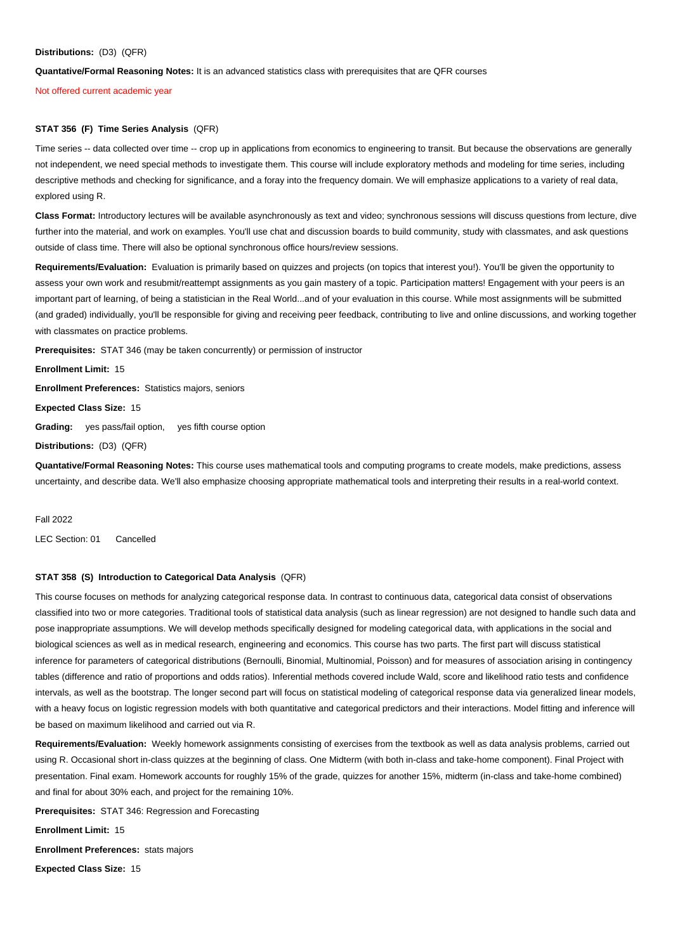## **Distributions:** (D3) (QFR)

**Quantative/Formal Reasoning Notes:** It is an advanced statistics class with prerequisites that are QFR courses

Not offered current academic year

# **STAT 356 (F) Time Series Analysis** (QFR)

Time series -- data collected over time -- crop up in applications from economics to engineering to transit. But because the observations are generally not independent, we need special methods to investigate them. This course will include exploratory methods and modeling for time series, including descriptive methods and checking for significance, and a foray into the frequency domain. We will emphasize applications to a variety of real data, explored using R.

**Class Format:** Introductory lectures will be available asynchronously as text and video; synchronous sessions will discuss questions from lecture, dive further into the material, and work on examples. You'll use chat and discussion boards to build community, study with classmates, and ask questions outside of class time. There will also be optional synchronous office hours/review sessions.

**Requirements/Evaluation:** Evaluation is primarily based on quizzes and projects (on topics that interest you!). You'll be given the opportunity to assess your own work and resubmit/reattempt assignments as you gain mastery of a topic. Participation matters! Engagement with your peers is an important part of learning, of being a statistician in the Real World...and of your evaluation in this course. While most assignments will be submitted (and graded) individually, you'll be responsible for giving and receiving peer feedback, contributing to live and online discussions, and working together with classmates on practice problems.

**Prerequisites:** STAT 346 (may be taken concurrently) or permission of instructor

**Enrollment Limit:** 15

**Enrollment Preferences:** Statistics majors, seniors

**Expected Class Size:** 15

**Grading:** yes pass/fail option, yes fifth course option

**Distributions:** (D3) (QFR)

**Quantative/Formal Reasoning Notes:** This course uses mathematical tools and computing programs to create models, make predictions, assess uncertainty, and describe data. We'll also emphasize choosing appropriate mathematical tools and interpreting their results in a real-world context.<br>.

Fall 2022

LEC Section: 01 Cancelled

## **STAT 358 (S) Introduction to Categorical Data Analysis** (QFR)

This course focuses on methods for analyzing categorical response data. In contrast to continuous data, categorical data consist of observations classified into two or more categories. Traditional tools of statistical data analysis (such as linear regression) are not designed to handle such data and pose inappropriate assumptions. We will develop methods specifically designed for modeling categorical data, with applications in the social and biological sciences as well as in medical research, engineering and economics. This course has two parts. The first part will discuss statistical inference for parameters of categorical distributions (Bernoulli, Binomial, Multinomial, Poisson) and for measures of association arising in contingency tables (difference and ratio of proportions and odds ratios). Inferential methods covered include Wald, score and likelihood ratio tests and confidence intervals, as well as the bootstrap. The longer second part will focus on statistical modeling of categorical response data via generalized linear models, with a heavy focus on logistic regression models with both quantitative and categorical predictors and their interactions. Model fitting and inference will be based on maximum likelihood and carried out via R.

**Requirements/Evaluation:** Weekly homework assignments consisting of exercises from the textbook as well as data analysis problems, carried out using R. Occasional short in-class quizzes at the beginning of class. One Midterm (with both in-class and take-home component). Final Project with presentation. Final exam. Homework accounts for roughly 15% of the grade, quizzes for another 15%, midterm (in-class and take-home combined) and final for about 30% each, and project for the remaining 10%.

**Prerequisites:** STAT 346: Regression and Forecasting

**Enrollment Limit:** 15

**Enrollment Preferences:** stats majors

**Expected Class Size:** 15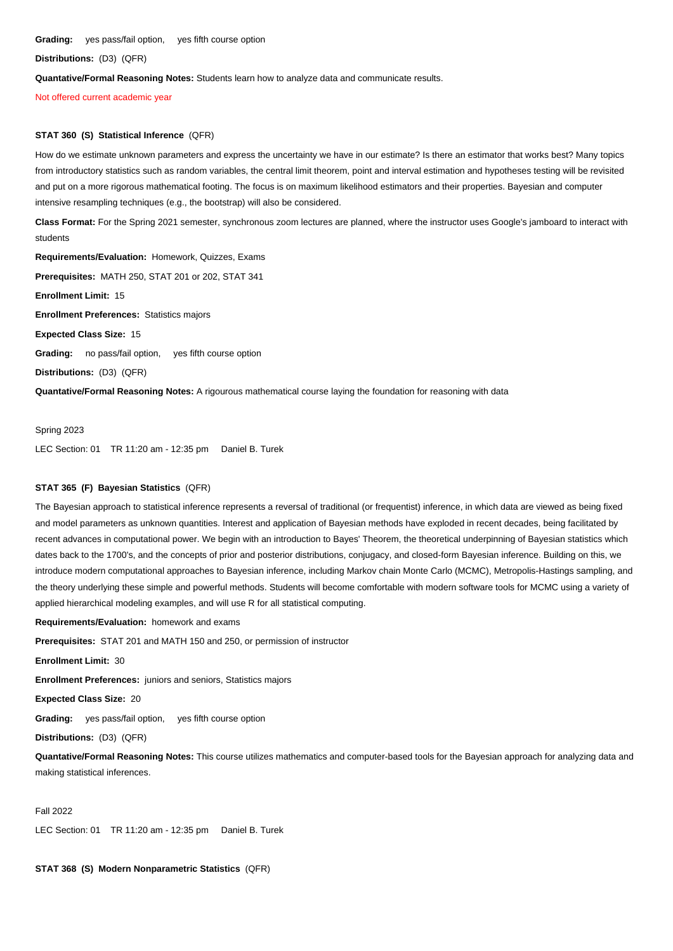**Grading:** yes pass/fail option, yes fifth course option

**Distributions:** (D3) (QFR)

**Quantative/Formal Reasoning Notes:** Students learn how to analyze data and communicate results.

Not offered current academic year

## **STAT 360 (S) Statistical Inference** (QFR)

How do we estimate unknown parameters and express the uncertainty we have in our estimate? Is there an estimator that works best? Many topics from introductory statistics such as random variables, the central limit theorem, point and interval estimation and hypotheses testing will be revisited and put on a more rigorous mathematical footing. The focus is on maximum likelihood estimators and their properties. Bayesian and computer intensive resampling techniques (e.g., the bootstrap) will also be considered.

**Class Format:** For the Spring 2021 semester, synchronous zoom lectures are planned, where the instructor uses Google's jamboard to interact with students

**Requirements/Evaluation:** Homework, Quizzes, Exams

**Prerequisites:** MATH 250, STAT 201 or 202, STAT 341

**Enrollment Limit:** 15

**Enrollment Preferences:** Statistics majors

**Expected Class Size:** 15

**Grading:** no pass/fail option, yes fifth course option

**Distributions:** (D3) (QFR)

**Quantative/Formal Reasoning Notes:** A rigourous mathematical course laying the foundation for reasoning with data

Spring 2023 LEC Section: 01 TR 11:20 am - 12:35 pm Daniel B. Turek

## **STAT 365 (F) Bayesian Statistics** (QFR)

The Bayesian approach to statistical inference represents a reversal of traditional (or frequentist) inference, in which data are viewed as being fixed and model parameters as unknown quantities. Interest and application of Bayesian methods have exploded in recent decades, being facilitated by recent advances in computational power. We begin with an introduction to Bayes' Theorem, the theoretical underpinning of Bayesian statistics which dates back to the 1700's, and the concepts of prior and posterior distributions, conjugacy, and closed-form Bayesian inference. Building on this, we introduce modern computational approaches to Bayesian inference, including Markov chain Monte Carlo (MCMC), Metropolis-Hastings sampling, and the theory underlying these simple and powerful methods. Students will become comfortable with modern software tools for MCMC using a variety of applied hierarchical modeling examples, and will use R for all statistical computing.

**Requirements/Evaluation:** homework and exams

**Prerequisites:** STAT 201 and MATH 150 and 250, or permission of instructor

**Enrollment Limit:** 30

**Enrollment Preferences:** juniors and seniors, Statistics majors

**Expected Class Size:** 20

**Grading:** yes pass/fail option, yes fifth course option

**Distributions:** (D3) (QFR)

**Quantative/Formal Reasoning Notes:** This course utilizes mathematics and computer-based tools for the Bayesian approach for analyzing data and making statistical inferences.

### Fall 2022

LEC Section: 01 TR 11:20 am - 12:35 pm Daniel B. Turek

**STAT 368 (S) Modern Nonparametric Statistics** (QFR)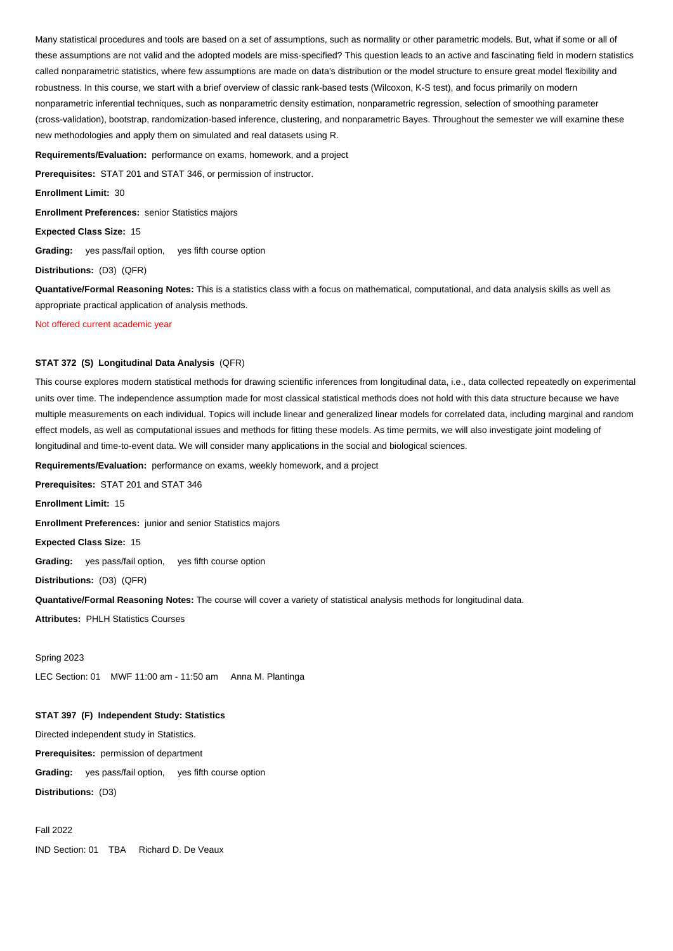Many statistical procedures and tools are based on a set of assumptions, such as normality or other parametric models. But, what if some or all of these assumptions are not valid and the adopted models are miss-specified? This question leads to an active and fascinating field in modern statistics called nonparametric statistics, where few assumptions are made on data's distribution or the model structure to ensure great model flexibility and robustness. In this course, we start with a brief overview of classic rank-based tests (Wilcoxon, K-S test), and focus primarily on modern nonparametric inferential techniques, such as nonparametric density estimation, nonparametric regression, selection of smoothing parameter (cross-validation), bootstrap, randomization-based inference, clustering, and nonparametric Bayes. Throughout the semester we will examine these new methodologies and apply them on simulated and real datasets using R.

**Requirements/Evaluation:** performance on exams, homework, and a project

**Prerequisites:** STAT 201 and STAT 346, or permission of instructor.

**Enrollment Limit:** 30

**Enrollment Preferences:** senior Statistics majors

**Expected Class Size:** 15

**Grading:** yes pass/fail option, yes fifth course option

**Distributions:** (D3) (QFR)

**Quantative/Formal Reasoning Notes:** This is a statistics class with a focus on mathematical, computational, and data analysis skills as well as appropriate practical application of analysis methods.

Not offered current academic year

# **STAT 372 (S) Longitudinal Data Analysis** (QFR)

This course explores modern statistical methods for drawing scientific inferences from longitudinal data, i.e., data collected repeatedly on experimental units over time. The independence assumption made for most classical statistical methods does not hold with this data structure because we have multiple measurements on each individual. Topics will include linear and generalized linear models for correlated data, including marginal and random effect models, as well as computational issues and methods for fitting these models. As time permits, we will also investigate joint modeling of longitudinal and time-to-event data. We will consider many applications in the social and biological sciences.

**Requirements/Evaluation:** performance on exams, weekly homework, and a project

**Prerequisites:** STAT 201 and STAT 346

**Enrollment Limit:** 15

**Enrollment Preferences:** junior and senior Statistics majors

**Expected Class Size:** 15

**Grading:** yes pass/fail option, yes fifth course option

**Distributions:** (D3) (QFR)

**Quantative/Formal Reasoning Notes:** The course will cover a variety of statistical analysis methods for longitudinal data.

**Attributes:** PHLH Statistics Courses

Spring 2023 LEC Section: 01 MWF 11:00 am - 11:50 am Anna M. Plantinga

**STAT 397 (F) Independent Study: Statistics** 

Directed independent study in Statistics.

**Prerequisites:** permission of department

**Grading:** yes pass/fail option, yes fifth course option

**Distributions:** (D3)

Fall 2022

IND Section: 01 TBA Richard D. De Veaux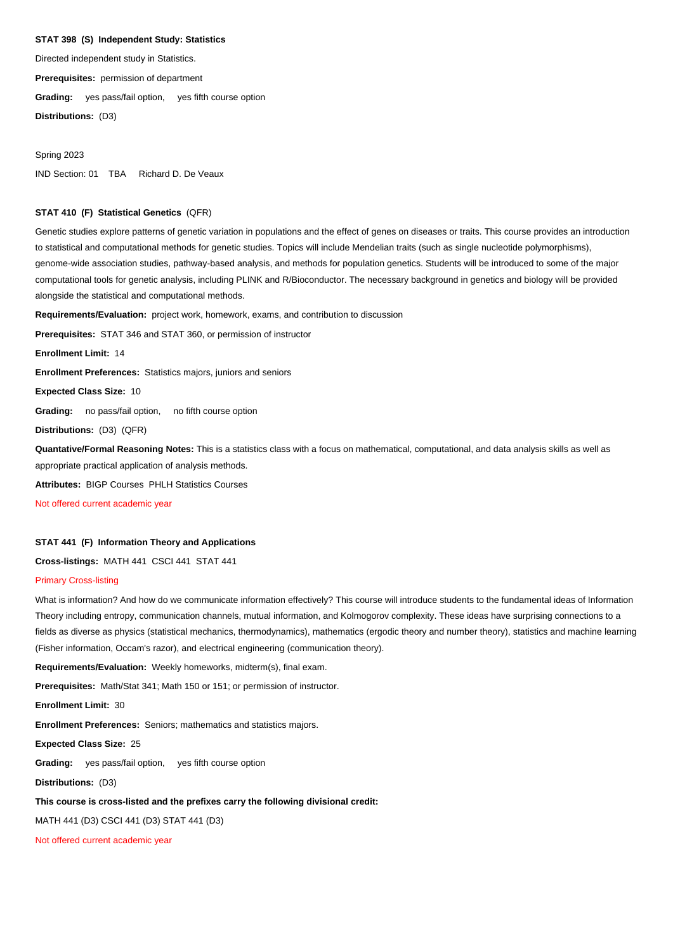# **STAT 398 (S) Independent Study: Statistics**

Directed independent study in Statistics.

**Prerequisites:** permission of department

**Grading:** yes pass/fail option, yes fifth course option

**Distributions:** (D3)

Spring 2023 IND Section: 01 TBA Richard D. De Veaux

## **STAT 410 (F) Statistical Genetics** (QFR)

Genetic studies explore patterns of genetic variation in populations and the effect of genes on diseases or traits. This course provides an introduction to statistical and computational methods for genetic studies. Topics will include Mendelian traits (such as single nucleotide polymorphisms), genome-wide association studies, pathway-based analysis, and methods for population genetics. Students will be introduced to some of the major computational tools for genetic analysis, including PLINK and R/Bioconductor. The necessary background in genetics and biology will be provided alongside the statistical and computational methods.

**Requirements/Evaluation:** project work, homework, exams, and contribution to discussion

**Prerequisites:** STAT 346 and STAT 360, or permission of instructor

**Enrollment Limit:** 14

**Enrollment Preferences:** Statistics majors, juniors and seniors

**Expected Class Size:** 10

**Grading:** no pass/fail option, no fifth course option

**Distributions:** (D3) (QFR)

**Quantative/Formal Reasoning Notes:** This is a statistics class with a focus on mathematical, computational, and data analysis skills as well as appropriate practical application of analysis methods.

**Attributes:** BIGP Courses PHLH Statistics Courses

Not offered current academic year

## **STAT 441 (F) Information Theory and Applications**

**Cross-listings:** MATH 441 CSCI 441 STAT 441

## Primary Cross-listing

What is information? And how do we communicate information effectively? This course will introduce students to the fundamental ideas of Information Theory including entropy, communication channels, mutual information, and Kolmogorov complexity. These ideas have surprising connections to a fields as diverse as physics (statistical mechanics, thermodynamics), mathematics (ergodic theory and number theory), statistics and machine learning (Fisher information, Occam's razor), and electrical engineering (communication theory).

**Requirements/Evaluation:** Weekly homeworks, midterm(s), final exam.

**Prerequisites:** Math/Stat 341; Math 150 or 151; or permission of instructor.

**Enrollment Limit:** 30

**Enrollment Preferences:** Seniors; mathematics and statistics majors.

**Expected Class Size:** 25

**Grading:** yes pass/fail option, yes fifth course option

**Distributions:** (D3)

# **This course is cross-listed and the prefixes carry the following divisional credit:**

MATH 441 (D3) CSCI 441 (D3) STAT 441 (D3)

Not offered current academic year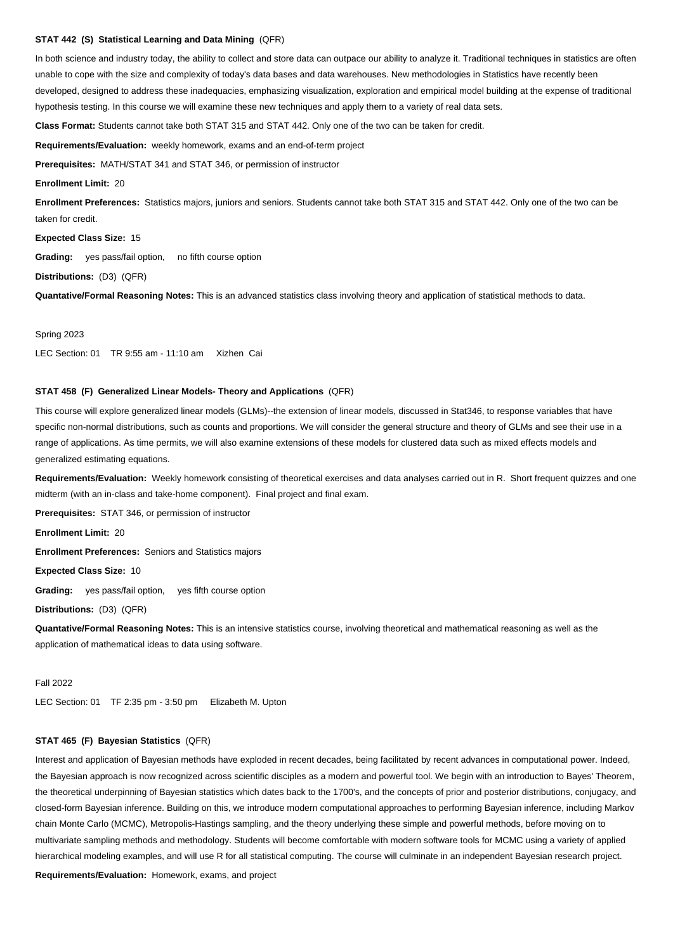# **STAT 442 (S) Statistical Learning and Data Mining** (QFR)

In both science and industry today, the ability to collect and store data can outpace our ability to analyze it. Traditional techniques in statistics are often unable to cope with the size and complexity of today's data bases and data warehouses. New methodologies in Statistics have recently been developed, designed to address these inadequacies, emphasizing visualization, exploration and empirical model building at the expense of traditional hypothesis testing. In this course we will examine these new techniques and apply them to a variety of real data sets.

**Class Format:** Students cannot take both STAT 315 and STAT 442. Only one of the two can be taken for credit.

**Requirements/Evaluation:** weekly homework, exams and an end-of-term project

**Prerequisites:** MATH/STAT 341 and STAT 346, or permission of instructor

#### **Enrollment Limit:** 20

**Enrollment Preferences:** Statistics majors, juniors and seniors. Students cannot take both STAT 315 and STAT 442. Only one of the two can be taken for credit.

**Expected Class Size:** 15

**Grading:** yes pass/fail option, no fifth course option

**Distributions:** (D3) (QFR)

**Quantative/Formal Reasoning Notes:** This is an advanced statistics class involving theory and application of statistical methods to data.

Spring 2023

LEC Section: 01 TR 9:55 am - 11:10 am Xizhen Cai

## **STAT 458 (F) Generalized Linear Models- Theory and Applications** (QFR)

This course will explore generalized linear models (GLMs)--the extension of linear models, discussed in Stat346, to response variables that have specific non-normal distributions, such as counts and proportions. We will consider the general structure and theory of GLMs and see their use in a range of applications. As time permits, we will also examine extensions of these models for clustered data such as mixed effects models and generalized estimating equations.

**Requirements/Evaluation:** Weekly homework consisting of theoretical exercises and data analyses carried out in R. Short frequent quizzes and one midterm (with an in-class and take-home component). Final project and final exam.

**Prerequisites:** STAT 346, or permission of instructor

**Enrollment Limit:** 20

**Enrollment Preferences:** Seniors and Statistics majors

**Expected Class Size:** 10

**Grading:** yes pass/fail option, yes fifth course option

**Distributions:** (D3) (QFR)

**Quantative/Formal Reasoning Notes:** This is an intensive statistics course, involving theoretical and mathematical reasoning as well as the application of mathematical ideas to data using software.

### Fall 2022

LEC Section: 01 TF 2:35 pm - 3:50 pm Elizabeth M. Upton

## **STAT 465 (F) Bayesian Statistics** (QFR)

Interest and application of Bayesian methods have exploded in recent decades, being facilitated by recent advances in computational power. Indeed, the Bayesian approach is now recognized across scientific disciples as a modern and powerful tool. We begin with an introduction to Bayes' Theorem, the theoretical underpinning of Bayesian statistics which dates back to the 1700's, and the concepts of prior and posterior distributions, conjugacy, and closed-form Bayesian inference. Building on this, we introduce modern computational approaches to performing Bayesian inference, including Markov chain Monte Carlo (MCMC), Metropolis-Hastings sampling, and the theory underlying these simple and powerful methods, before moving on to multivariate sampling methods and methodology. Students will become comfortable with modern software tools for MCMC using a variety of applied hierarchical modeling examples, and will use R for all statistical computing. The course will culminate in an independent Bayesian research project. **Requirements/Evaluation:** Homework, exams, and project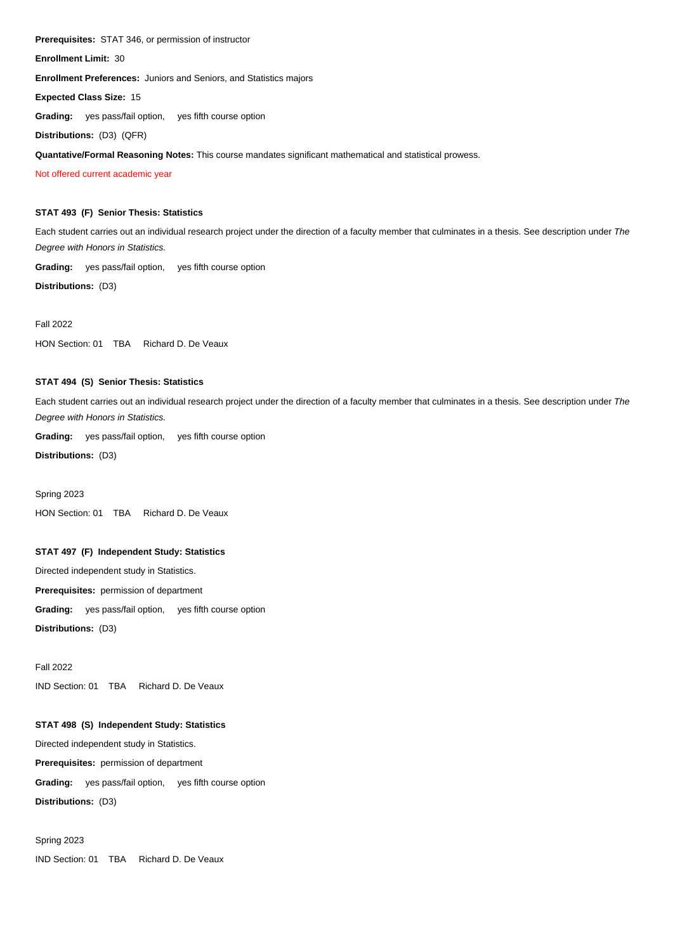**Prerequisites:** STAT 346, or permission of instructor

**Enrollment Limit:** 30

**Enrollment Preferences:** Juniors and Seniors, and Statistics majors

**Expected Class Size:** 15

**Grading:** yes pass/fail option, yes fifth course option

**Distributions:** (D3) (QFR)

**Quantative/Formal Reasoning Notes:** This course mandates significant mathematical and statistical prowess.

Not offered current academic year

# **STAT 493 (F) Senior Thesis: Statistics**

Each student carries out an individual research project under the direction of a faculty member that culminates in a thesis. See description under The Degree with Honors in Statistics.

**Grading:** yes pass/fail option, yes fifth course option

**Distributions:** (D3)

## Fall 2022

HON Section: 01 TBA Richard D. De Veaux

# **STAT 494 (S) Senior Thesis: Statistics**

Each student carries out an individual research project under the direction of a faculty member that culminates in a thesis. See description under The Degree with Honors in Statistics.

**Grading:** yes pass/fail option, yes fifth course option

**Distributions:** (D3)

Spring 2023 HON Section: 01 TBA Richard D. De Veaux

# **STAT 497 (F) Independent Study: Statistics**

Directed independent study in Statistics. **Prerequisites:** permission of department **Grading:** yes pass/fail option, yes fifth course option

**Distributions:** (D3)

Fall 2022 IND Section: 01 TBA Richard D. De Veaux

# **STAT 498 (S) Independent Study: Statistics**

Directed independent study in Statistics.

**Prerequisites:** permission of department

**Grading:** yes pass/fail option, yes fifth course option

**Distributions:** (D3)

Spring 2023

IND Section: 01 TBA Richard D. De Veaux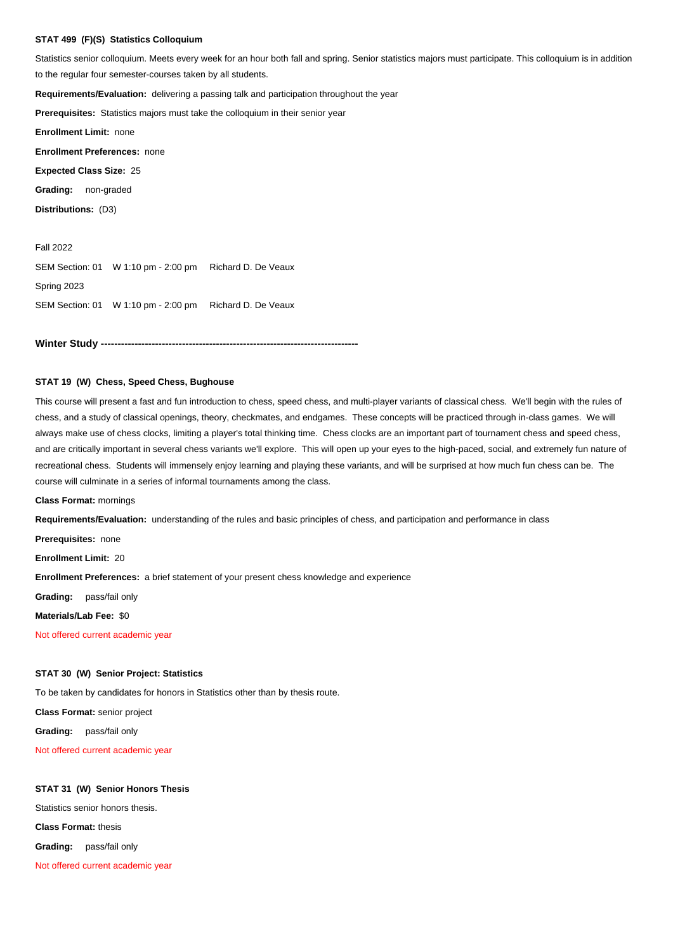# **STAT 499 (F)(S) Statistics Colloquium**

Statistics senior colloquium. Meets every week for an hour both fall and spring. Senior statistics majors must participate. This colloquium is in addition to the regular four semester-courses taken by all students.

**Requirements/Evaluation:** delivering a passing talk and participation throughout the year

**Prerequisites:** Statistics majors must take the colloquium in their senior year

**Enrollment Limit:** none

**Enrollment Preferences:** none

**Expected Class Size:** 25

**Grading:** non-graded

**Distributions:** (D3)

Fall 2022 SEM Section: 01 W 1:10 pm - 2:00 pm Richard D. De Veaux Spring 2023 SEM Section: 01 W 1:10 pm - 2:00 pm Richard D. De Veaux

**Winter Study ----------------**

## **STAT 19 (W) Chess, Speed Chess, Bughouse**

This course will present a fast and fun introduction to chess, speed chess, and multi-player variants of classical chess. We'll begin with the rules of chess, and a study of classical openings, theory, checkmates, and endgames. These concepts will be practiced through in-class games. We will always make use of chess clocks, limiting a player's total thinking time. Chess clocks are an important part of tournament chess and speed chess, and are critically important in several chess variants we'll explore. This will open up your eyes to the high-paced, social, and extremely fun nature of recreational chess. Students will immensely enjoy learning and playing these variants, and will be surprised at how much fun chess can be. The course will culminate in a series of informal tournaments among the class.

**Class Format:** mornings

**Requirements/Evaluation:** understanding of the rules and basic principles of chess, and participation and performance in class

**Prerequisites:** none

**Enrollment Limit:** 20

**Enrollment Preferences:** a brief statement of your present chess knowledge and experience

**Grading:** pass/fail only

**Materials/Lab Fee:** \$0 Ī

Not offered current academic year

## **STAT 30 (W) Senior Project: Statistics**

To be taken by candidates for honors in Statistics other than by thesis route.

**Class Format:** senior project

**Grading:** pass/fail only

Not offered current academic year

## **STAT 31 (W) Senior Honors Thesis**

Statistics senior honors thesis.

**Class Format:** thesis

**Grading:** pass/fail only

Not offered current academic year